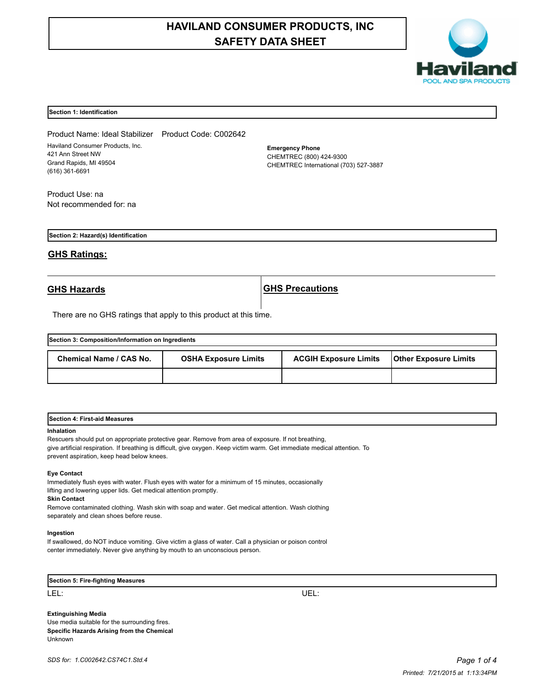# **HAVILAND CONSUMER PRODUCTS, INC SAFETY DATA SHEET**



#### **Section 1: Identification**

Product Name: Ideal Stabilizer Product Code: C002642 Haviland Consumer Products, Inc. 421 Ann Street NW Grand Rapids, MI 49504 (616) 361-6691

**Emergency Phone** CHEMTREC (800) 424-9300 CHEMTREC International (703) 527-3887

Product Use: na Not recommended for: na

**Section 2: Hazard(s) Identification**

## **GHS Ratings:**

**GHS Hazards GHS Precautions**

There are no GHS ratings that apply to this product at this time.

| Section 3: Composition/Information on Ingredients |                             |                              |                              |  |  |
|---------------------------------------------------|-----------------------------|------------------------------|------------------------------|--|--|
| Chemical Name / CAS No.                           | <b>OSHA Exposure Limits</b> | <b>ACGIH Exposure Limits</b> | <b>Other Exposure Limits</b> |  |  |
|                                                   |                             |                              |                              |  |  |

| <b>Section 4: First-aid Measures</b> |  |
|--------------------------------------|--|
|                                      |  |

#### **Inhalation**

Rescuers should put on appropriate protective gear. Remove from area of exposure. If not breathing, give artificial respiration. If breathing is difficult, give oxygen. Keep victim warm. Get immediate medical attention. To prevent aspiration, keep head below knees.

#### **Eye Contact**

Immediately flush eyes with water. Flush eyes with water for a minimum of 15 minutes, occasionally lifting and lowering upper lids. Get medical attention promptly.

**Skin Contact**

Remove contaminated clothing. Wash skin with soap and water. Get medical attention. Wash clothing separately and clean shoes before reuse.

#### **Ingestion**

If swallowed, do NOT induce vomiting. Give victim a glass of water. Call a physician or poison control center immediately. Never give anything by mouth to an unconscious person.

**Section 5: Fire-fighting Measures**

LEL: UEL:

**Extinguishing Media** Use media suitable for the surrounding fires. **Specific Hazards Arising from the Chemical** Unknown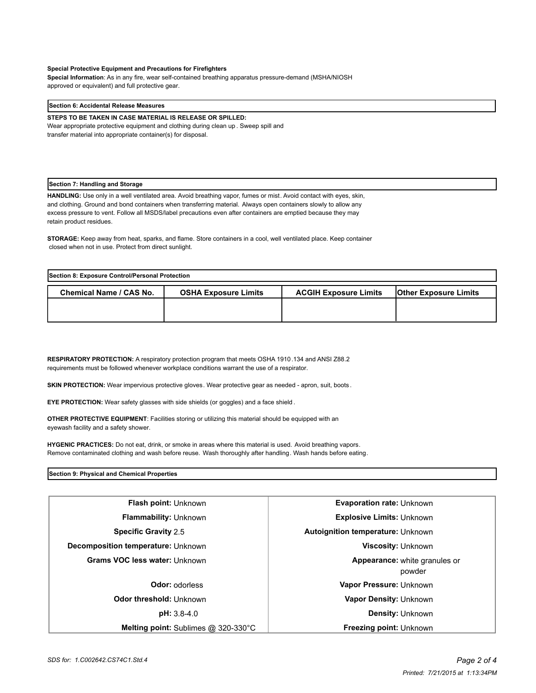#### **Special Protective Equipment and Precautions for Firefighters**

**Special Information**: As in any fire, wear self-contained breathing apparatus pressure-demand (MSHA/NIOSH approved or equivalent) and full protective gear.

#### **Section 6: Accidental Release Measures**

**STEPS TO BE TAKEN IN CASE MATERIAL IS RELEASE OR SPILLED:**

Wear appropriate protective equipment and clothing during clean up . Sweep spill and transfer material into appropriate container(s) for disposal.

#### **Section 7: Handling and Storage**

**HANDLING:** Use only in a well ventilated area. Avoid breathing vapor, fumes or mist. Avoid contact with eyes, skin, and clothing. Ground and bond containers when transferring material. Always open containers slowly to allow any excess pressure to vent. Follow all MSDS/label precautions even after containers are emptied because they may retain product residues.

**STORAGE:** Keep away from heat, sparks, and flame. Store containers in a cool, well ventilated place. Keep container closed when not in use. Protect from direct sunlight.

| Section 8: Exposure Control/Personal Protection |                             |                              |                              |  |
|-------------------------------------------------|-----------------------------|------------------------------|------------------------------|--|
| <b>Chemical Name / CAS No.</b>                  | <b>OSHA Exposure Limits</b> | <b>ACGIH Exposure Limits</b> | <b>Other Exposure Limits</b> |  |
|                                                 |                             |                              |                              |  |
|                                                 |                             |                              |                              |  |

**RESPIRATORY PROTECTION:** A respiratory protection program that meets OSHA 1910.134 and ANSI Z88.2 requirements must be followed whenever workplace conditions warrant the use of a respirator.

**SKIN PROTECTION:** Wear impervious protective gloves. Wear protective gear as needed - apron, suit, boots .

**EYE PROTECTION:** Wear safety glasses with side shields (or goggles) and a face shield .

**OTHER PROTECTIVE EQUIPMENT**: Facilities storing or utilizing this material should be equipped with an eyewash facility and a safety shower.

**HYGENIC PRACTICES:** Do not eat, drink, or smoke in areas where this material is used. Avoid breathing vapors. Remove contaminated clothing and wash before reuse. Wash thoroughly after handling. Wash hands before eating.

#### **Section 9: Physical and Chemical Properties**

| <b>Flash point: Unknown</b>                   | <b>Evaporation rate: Unknown</b>         |  |
|-----------------------------------------------|------------------------------------------|--|
| <b>Flammability: Unknown</b>                  | <b>Explosive Limits: Unknown</b>         |  |
| <b>Specific Gravity 2.5</b>                   | <b>Autoignition temperature: Unknown</b> |  |
| Decomposition temperature: Unknown            | <b>Viscosity: Unknown</b>                |  |
| <b>Grams VOC less water: Unknown</b>          | Appearance: white granules or<br>powder  |  |
| <b>Odor: odorless</b>                         | Vapor Pressure: Unknown                  |  |
| Odor threshold: Unknown                       | Vapor Density: Unknown                   |  |
| pH: 3.8-4.0                                   | <b>Density: Unknown</b>                  |  |
| <b>Melting point:</b> Sublimes $@$ 320-330 °C | <b>Freezing point: Unknown</b>           |  |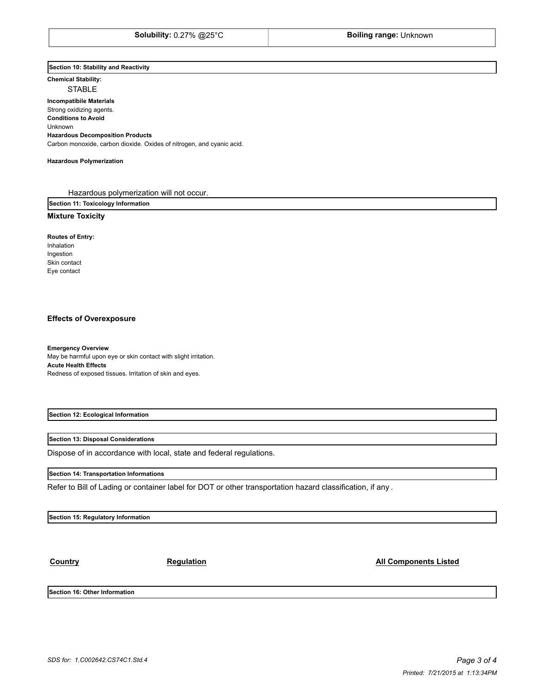### **Section 10: Stability and Reactivity**

**Chemical Stability:** STABLE

# **Incompatibile Materials**  Strong oxidizing agents. **Conditions to Avoid** Unknown

**Hazardous Decomposition Products** Carbon monoxide, carbon dioxide. Oxides of nitrogen, and cyanic acid.

#### **Hazardous Polymerization**

Hazardous polymerization will not occur.

**Section 11: Toxicology Information**

### **Mixture Toxicity**

**Routes of Entry:** Inhalation

Ingestion Skin contact Eye contact

#### **Effects of Overexposure**

**Emergency Overview** May be harmful upon eye or skin contact with slight irritation. **Acute Health Effects** Redness of exposed tissues. Irritation of skin and eyes.

**Section 12: Ecological Information**

#### **Section 13: Disposal Considerations**

Dispose of in accordance with local, state and federal regulations.

#### **Section 14: Transportation Informations**

Refer to Bill of Lading or container label for DOT or other transportation hazard classification, if any .

**Section 15: Regulatory Information**

**Country Country Regulation Regulation Regulation All Components Listed** 

**Section 16: Other Information**